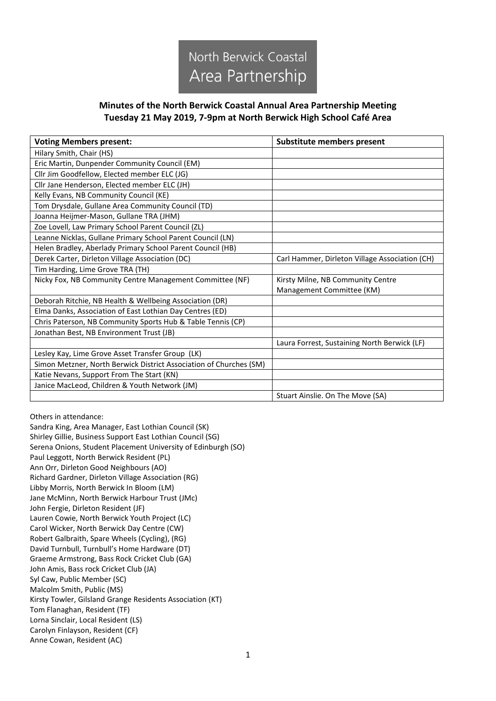

## **Minutes of the North Berwick Coastal Annual Area Partnership Meeting Tuesday 21 May 2019, 7-9pm at North Berwick High School Café Area**

| <b>Voting Members present:</b>                                     | Substitute members present                     |
|--------------------------------------------------------------------|------------------------------------------------|
| Hilary Smith, Chair (HS)                                           |                                                |
| Eric Martin, Dunpender Community Council (EM)                      |                                                |
| Cllr Jim Goodfellow, Elected member ELC (JG)                       |                                                |
| Cllr Jane Henderson, Elected member ELC (JH)                       |                                                |
| Kelly Evans, NB Community Council (KE)                             |                                                |
| Tom Drysdale, Gullane Area Community Council (TD)                  |                                                |
| Joanna Heijmer-Mason, Gullane TRA (JHM)                            |                                                |
| Zoe Lovell, Law Primary School Parent Council (ZL)                 |                                                |
| Leanne Nicklas, Gullane Primary School Parent Council (LN)         |                                                |
| Helen Bradley, Aberlady Primary School Parent Council (HB)         |                                                |
| Derek Carter, Dirleton Village Association (DC)                    | Carl Hammer, Dirleton Village Association (CH) |
| Tim Harding, Lime Grove TRA (TH)                                   |                                                |
| Nicky Fox, NB Community Centre Management Committee (NF)           | Kirsty Milne, NB Community Centre              |
|                                                                    | Management Committee (KM)                      |
| Deborah Ritchie, NB Health & Wellbeing Association (DR)            |                                                |
| Elma Danks, Association of East Lothian Day Centres (ED)           |                                                |
| Chris Paterson, NB Community Sports Hub & Table Tennis (CP)        |                                                |
| Jonathan Best, NB Environment Trust (JB)                           |                                                |
|                                                                    | Laura Forrest, Sustaining North Berwick (LF)   |
| Lesley Kay, Lime Grove Asset Transfer Group (LK)                   |                                                |
| Simon Metzner, North Berwick District Association of Churches (SM) |                                                |
| Katie Nevans, Support From The Start (KN)                          |                                                |
| Janice MacLeod, Children & Youth Network (JM)                      |                                                |
|                                                                    | Stuart Ainslie. On The Move (SA)               |

Others in attendance:

Sandra King, Area Manager, East Lothian Council (SK) Shirley Gillie, Business Support East Lothian Council (SG) Serena Onions, Student Placement University of Edinburgh (SO) Paul Leggott, North Berwick Resident (PL) Ann Orr, Dirleton Good Neighbours (AO) Richard Gardner, Dirleton Village Association (RG) Libby Morris, North Berwick In Bloom (LM) Jane McMinn, North Berwick Harbour Trust (JMc) John Fergie, Dirleton Resident (JF) Lauren Cowie, North Berwick Youth Project (LC) Carol Wicker, North Berwick Day Centre (CW) Robert Galbraith, Spare Wheels (Cycling), (RG) David Turnbull, Turnbull's Home Hardware (DT) Graeme Armstrong, Bass Rock Cricket Club (GA) John Amis, Bass rock Cricket Club (JA) Syl Caw, Public Member (SC) Malcolm Smith, Public (MS) Kirsty Towler, Gilsland Grange Residents Association (KT) Tom Flanaghan, Resident (TF) Lorna Sinclair, Local Resident (LS) Carolyn Finlayson, Resident (CF) Anne Cowan, Resident (AC)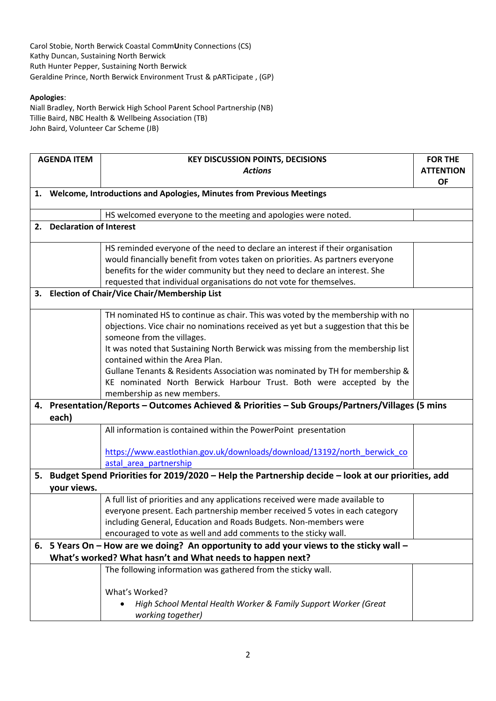Carol Stobie, North Berwick Coastal Comm**U**nity Connections (CS) Kathy Duncan, Sustaining North Berwick Ruth Hunter Pepper, Sustaining North Berwick Geraldine Prince, North Berwick Environment Trust & pARTicipate , (GP)

## **Apologies**:

Niall Bradley, North Berwick High School Parent School Partnership (NB) Tillie Baird, NBC Health & Wellbeing Association (TB) John Baird, Volunteer Car Scheme (JB)

|    | <b>AGENDA ITEM</b>                                                                              | <b>KEY DISCUSSION POINTS, DECISIONS</b>                                                              | <b>FOR THE</b>   |  |
|----|-------------------------------------------------------------------------------------------------|------------------------------------------------------------------------------------------------------|------------------|--|
|    |                                                                                                 | <b>Actions</b>                                                                                       | <b>ATTENTION</b> |  |
|    |                                                                                                 |                                                                                                      | <b>OF</b>        |  |
|    |                                                                                                 | 1. Welcome, Introductions and Apologies, Minutes from Previous Meetings                              |                  |  |
|    |                                                                                                 | HS welcomed everyone to the meeting and apologies were noted.                                        |                  |  |
|    |                                                                                                 | 2. Declaration of Interest                                                                           |                  |  |
|    |                                                                                                 | HS reminded everyone of the need to declare an interest if their organisation                        |                  |  |
|    |                                                                                                 | would financially benefit from votes taken on priorities. As partners everyone                       |                  |  |
|    |                                                                                                 | benefits for the wider community but they need to declare an interest. She                           |                  |  |
|    |                                                                                                 | requested that individual organisations do not vote for themselves.                                  |                  |  |
| 3. | <b>Election of Chair/Vice Chair/Membership List</b>                                             |                                                                                                      |                  |  |
|    |                                                                                                 | TH nominated HS to continue as chair. This was voted by the membership with no                       |                  |  |
|    |                                                                                                 | objections. Vice chair no nominations received as yet but a suggestion that this be                  |                  |  |
|    |                                                                                                 | someone from the villages.                                                                           |                  |  |
|    |                                                                                                 | It was noted that Sustaining North Berwick was missing from the membership list                      |                  |  |
|    |                                                                                                 | contained within the Area Plan.                                                                      |                  |  |
|    |                                                                                                 | Gullane Tenants & Residents Association was nominated by TH for membership &                         |                  |  |
|    |                                                                                                 | KE nominated North Berwick Harbour Trust. Both were accepted by the                                  |                  |  |
|    |                                                                                                 | membership as new members.                                                                           |                  |  |
|    | 4. Presentation/Reports - Outcomes Achieved & Priorities - Sub Groups/Partners/Villages (5 mins |                                                                                                      |                  |  |
|    | each)                                                                                           |                                                                                                      |                  |  |
|    |                                                                                                 | All information is contained within the PowerPoint presentation                                      |                  |  |
|    |                                                                                                 | https://www.eastlothian.gov.uk/downloads/download/13192/north_berwick_co                             |                  |  |
|    |                                                                                                 | astal area partnership                                                                               |                  |  |
|    |                                                                                                 | 5. Budget Spend Priorities for 2019/2020 - Help the Partnership decide - look at our priorities, add |                  |  |
|    | your views.                                                                                     |                                                                                                      |                  |  |
|    |                                                                                                 | A full list of priorities and any applications received were made available to                       |                  |  |
|    |                                                                                                 | everyone present. Each partnership member received 5 votes in each category                          |                  |  |
|    |                                                                                                 | including General, Education and Roads Budgets. Non-members were                                     |                  |  |
|    |                                                                                                 | encouraged to vote as well and add comments to the sticky wall.                                      |                  |  |
|    |                                                                                                 | 6. 5 Years On - How are we doing? An opportunity to add your views to the sticky wall -              |                  |  |
|    | What's worked? What hasn't and What needs to happen next?                                       |                                                                                                      |                  |  |
|    |                                                                                                 | The following information was gathered from the sticky wall.                                         |                  |  |
|    |                                                                                                 | What's Worked?                                                                                       |                  |  |
|    |                                                                                                 | High School Mental Health Worker & Family Support Worker (Great                                      |                  |  |
|    |                                                                                                 | working together)                                                                                    |                  |  |